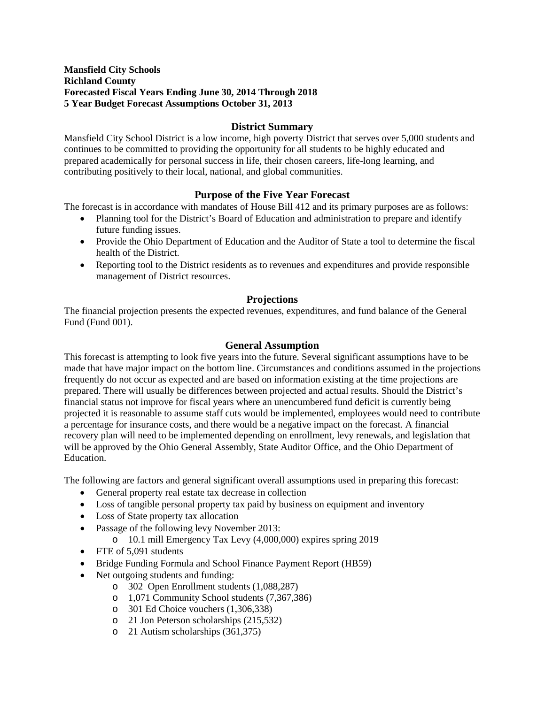# **District Summary**

Mansfield City School District is a low income, high poverty District that serves over 5,000 students and continues to be committed to providing the opportunity for all students to be highly educated and prepared academically for personal success in life, their chosen careers, life-long learning, and contributing positively to their local, national, and global communities.

# **Purpose of the Five Year Forecast**

The forecast is in accordance with mandates of House Bill 412 and its primary purposes are as follows:

- Planning tool for the District's Board of Education and administration to prepare and identify future funding issues.
- Provide the Ohio Department of Education and the Auditor of State a tool to determine the fiscal health of the District.
- Reporting tool to the District residents as to revenues and expenditures and provide responsible management of District resources.

# **Projections**

The financial projection presents the expected revenues, expenditures, and fund balance of the General Fund (Fund 001).

# **General Assumption**

This forecast is attempting to look five years into the future. Several significant assumptions have to be made that have major impact on the bottom line. Circumstances and conditions assumed in the projections frequently do not occur as expected and are based on information existing at the time projections are prepared. There will usually be differences between projected and actual results. Should the District's financial status not improve for fiscal years where an unencumbered fund deficit is currently being projected it is reasonable to assume staff cuts would be implemented, employees would need to contribute a percentage for insurance costs, and there would be a negative impact on the forecast. A financial recovery plan will need to be implemented depending on enrollment, levy renewals, and legislation that will be approved by the Ohio General Assembly, State Auditor Office, and the Ohio Department of Education.

The following are factors and general significant overall assumptions used in preparing this forecast:

- General property real estate tax decrease in collection
- Loss of tangible personal property tax paid by business on equipment and inventory
- Loss of State property tax allocation
- Passage of the following levy November 2013:
	- o 10.1 mill Emergency Tax Levy (4,000,000) expires spring 2019
- FTE of 5,091 students
- Bridge Funding Formula and School Finance Payment Report (HB59)
- Net outgoing students and funding:
	- o 302 Open Enrollment students (1,088,287)
	- o 1,071 Community School students (7,367,386)
	- o 301 Ed Choice vouchers (1,306,338)
	- o 21 Jon Peterson scholarships (215,532)
	- o 21 Autism scholarships (361,375)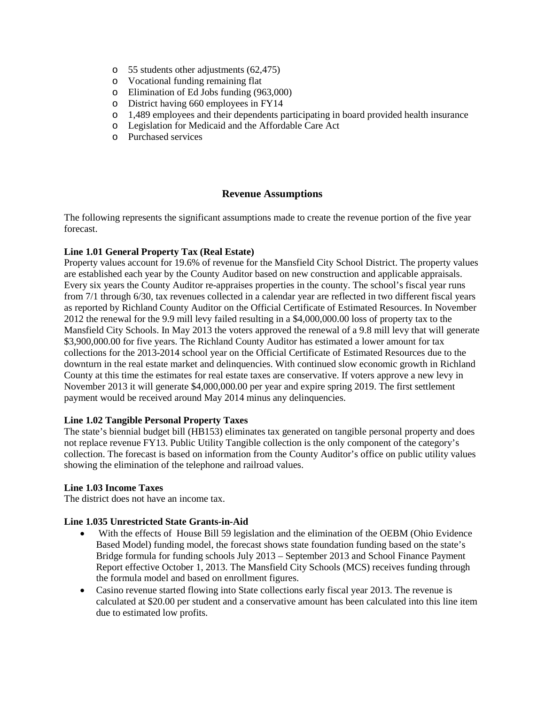- o 55 students other adjustments (62,475)
- o Vocational funding remaining flat
- o Elimination of Ed Jobs funding (963,000)
- o District having 660 employees in FY14
- o 1,489 employees and their dependents participating in board provided health insurance
- o Legislation for Medicaid and the Affordable Care Act
- o Purchased services

# **Revenue Assumptions**

The following represents the significant assumptions made to create the revenue portion of the five year forecast.

## **Line 1.01 General Property Tax (Real Estate)**

Property values account for 19.6% of revenue for the Mansfield City School District. The property values are established each year by the County Auditor based on new construction and applicable appraisals. Every six years the County Auditor re-appraises properties in the county. The school's fiscal year runs from 7/1 through 6/30, tax revenues collected in a calendar year are reflected in two different fiscal years as reported by Richland County Auditor on the Official Certificate of Estimated Resources. In November 2012 the renewal for the 9.9 mill levy failed resulting in a \$4,000,000.00 loss of property tax to the Mansfield City Schools. In May 2013 the voters approved the renewal of a 9.8 mill levy that will generate \$3,900,000.00 for five years. The Richland County Auditor has estimated a lower amount for tax collections for the 2013-2014 school year on the Official Certificate of Estimated Resources due to the downturn in the real estate market and delinquencies. With continued slow economic growth in Richland County at this time the estimates for real estate taxes are conservative. If voters approve a new levy in November 2013 it will generate \$4,000,000.00 per year and expire spring 2019. The first settlement payment would be received around May 2014 minus any delinquencies.

## **Line 1.02 Tangible Personal Property Taxes**

The state's biennial budget bill (HB153) eliminates tax generated on tangible personal property and does not replace revenue FY13. Public Utility Tangible collection is the only component of the category's collection. The forecast is based on information from the County Auditor's office on public utility values showing the elimination of the telephone and railroad values.

## **Line 1.03 Income Taxes**

The district does not have an income tax.

## **Line 1.035 Unrestricted State Grants-in-Aid**

- With the effects of House Bill 59 legislation and the elimination of the OEBM (Ohio Evidence Based Model) funding model, the forecast shows state foundation funding based on the state's Bridge formula for funding schools July 2013 – September 2013 and School Finance Payment Report effective October 1, 2013. The Mansfield City Schools (MCS) receives funding through the formula model and based on enrollment figures.
- Casino revenue started flowing into State collections early fiscal year 2013. The revenue is calculated at \$20.00 per student and a conservative amount has been calculated into this line item due to estimated low profits.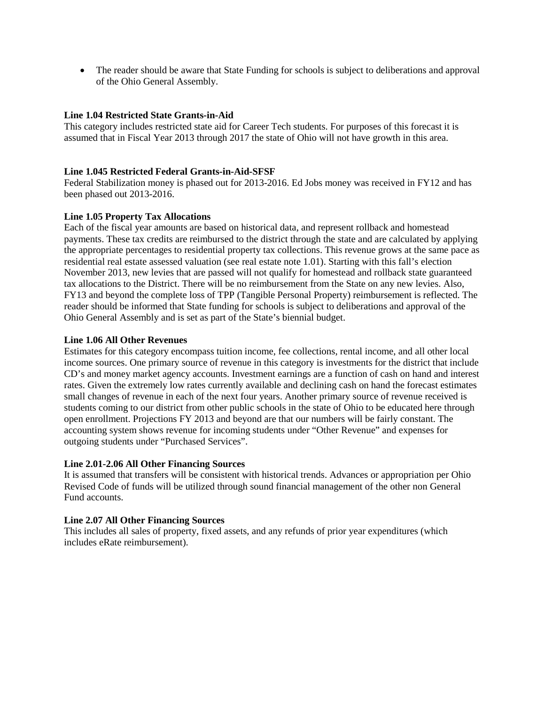• The reader should be aware that State Funding for schools is subject to deliberations and approval of the Ohio General Assembly.

## **Line 1.04 Restricted State Grants-in-Aid**

This category includes restricted state aid for Career Tech students. For purposes of this forecast it is assumed that in Fiscal Year 2013 through 2017 the state of Ohio will not have growth in this area.

### **Line 1.045 Restricted Federal Grants-in-Aid-SFSF**

Federal Stabilization money is phased out for 2013-2016. Ed Jobs money was received in FY12 and has been phased out 2013-2016.

### **Line 1.05 Property Tax Allocations**

Each of the fiscal year amounts are based on historical data, and represent rollback and homestead payments. These tax credits are reimbursed to the district through the state and are calculated by applying the appropriate percentages to residential property tax collections. This revenue grows at the same pace as residential real estate assessed valuation (see real estate note 1.01). Starting with this fall's election November 2013, new levies that are passed will not qualify for homestead and rollback state guaranteed tax allocations to the District. There will be no reimbursement from the State on any new levies. Also, FY13 and beyond the complete loss of TPP (Tangible Personal Property) reimbursement is reflected. The reader should be informed that State funding for schools is subject to deliberations and approval of the Ohio General Assembly and is set as part of the State's biennial budget.

### **Line 1.06 All Other Revenues**

Estimates for this category encompass tuition income, fee collections, rental income, and all other local income sources. One primary source of revenue in this category is investments for the district that include CD's and money market agency accounts. Investment earnings are a function of cash on hand and interest rates. Given the extremely low rates currently available and declining cash on hand the forecast estimates small changes of revenue in each of the next four years. Another primary source of revenue received is students coming to our district from other public schools in the state of Ohio to be educated here through open enrollment. Projections FY 2013 and beyond are that our numbers will be fairly constant. The accounting system shows revenue for incoming students under "Other Revenue" and expenses for outgoing students under "Purchased Services".

### **Line 2.01-2.06 All Other Financing Sources**

It is assumed that transfers will be consistent with historical trends. Advances or appropriation per Ohio Revised Code of funds will be utilized through sound financial management of the other non General Fund accounts.

## **Line 2.07 All Other Financing Sources**

This includes all sales of property, fixed assets, and any refunds of prior year expenditures (which includes eRate reimbursement).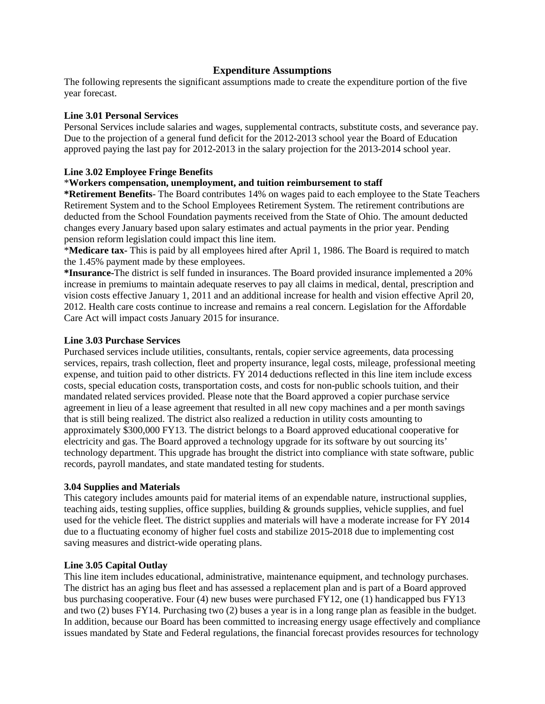# **Expenditure Assumptions**

The following represents the significant assumptions made to create the expenditure portion of the five year forecast.

### **Line 3.01 Personal Services**

Personal Services include salaries and wages, supplemental contracts, substitute costs, and severance pay. Due to the projection of a general fund deficit for the 2012-2013 school year the Board of Education approved paying the last pay for 2012-2013 in the salary projection for the 2013-2014 school year.

### **Line 3.02 Employee Fringe Benefits**

### \***Workers compensation, unemployment, and tuition reimbursement to staff**

**\*Retirement Benefits**- The Board contributes 14% on wages paid to each employee to the State Teachers Retirement System and to the School Employees Retirement System. The retirement contributions are deducted from the School Foundation payments received from the State of Ohio. The amount deducted changes every January based upon salary estimates and actual payments in the prior year. Pending pension reform legislation could impact this line item.

\***Medicare tax-** This is paid by all employees hired after April 1, 1986. The Board is required to match the 1.45% payment made by these employees.

**\*Insurance-**The district is self funded in insurances. The Board provided insurance implemented a 20% increase in premiums to maintain adequate reserves to pay all claims in medical, dental, prescription and vision costs effective January 1, 2011 and an additional increase for health and vision effective April 20, 2012. Health care costs continue to increase and remains a real concern. Legislation for the Affordable Care Act will impact costs January 2015 for insurance.

#### **Line 3.03 Purchase Services**

Purchased services include utilities, consultants, rentals, copier service agreements, data processing services, repairs, trash collection, fleet and property insurance, legal costs, mileage, professional meeting expense, and tuition paid to other districts. FY 2014 deductions reflected in this line item include excess costs, special education costs, transportation costs, and costs for non-public schools tuition, and their mandated related services provided. Please note that the Board approved a copier purchase service agreement in lieu of a lease agreement that resulted in all new copy machines and a per month savings that is still being realized. The district also realized a reduction in utility costs amounting to approximately \$300,000 FY13. The district belongs to a Board approved educational cooperative for electricity and gas. The Board approved a technology upgrade for its software by out sourcing its' technology department. This upgrade has brought the district into compliance with state software, public records, payroll mandates, and state mandated testing for students.

## **3.04 Supplies and Materials**

This category includes amounts paid for material items of an expendable nature, instructional supplies, teaching aids, testing supplies, office supplies, building & grounds supplies, vehicle supplies, and fuel used for the vehicle fleet. The district supplies and materials will have a moderate increase for FY 2014 due to a fluctuating economy of higher fuel costs and stabilize 2015-2018 due to implementing cost saving measures and district-wide operating plans.

## **Line 3.05 Capital Outlay**

This line item includes educational, administrative, maintenance equipment, and technology purchases. The district has an aging bus fleet and has assessed a replacement plan and is part of a Board approved bus purchasing cooperative. Four (4) new buses were purchased FY12, one (1) handicapped bus FY13 and two (2) buses FY14. Purchasing two (2) buses a year is in a long range plan as feasible in the budget. In addition, because our Board has been committed to increasing energy usage effectively and compliance issues mandated by State and Federal regulations, the financial forecast provides resources for technology